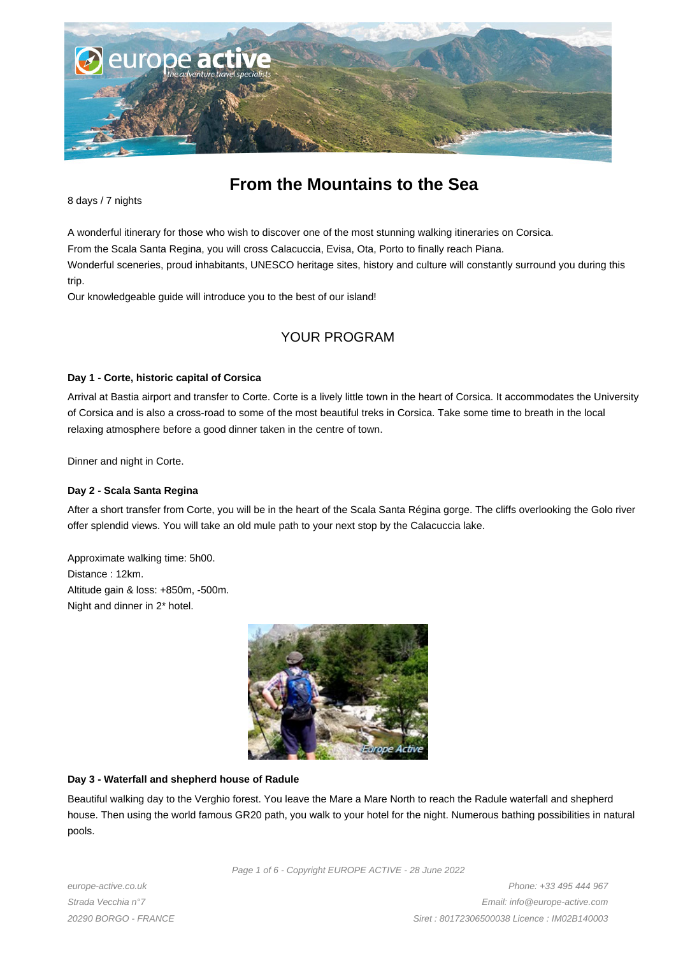

# **From the Mountains to the Sea**

8 days / 7 nights

A wonderful itinerary for those who wish to discover one of the most stunning walking itineraries on Corsica.

From the Scala Santa Regina, you will cross Calacuccia, Evisa, Ota, Porto to finally reach Piana.

Wonderful sceneries, proud inhabitants, UNESCO heritage sites, history and culture will constantly surround you during this trip.

Our knowledgeable guide will introduce you to the best of our island!

## YOUR PROGRAM

#### **Day 1 - Corte, historic capital of Corsica**

Arrival at Bastia airport and transfer to Corte. Corte is a lively little town in the heart of Corsica. It accommodates the University of Corsica and is also a cross-road to some of the most beautiful treks in Corsica. Take some time to breath in the local relaxing atmosphere before a good dinner taken in the centre of town.

Dinner and night in Corte.

#### **Day 2 - Scala Santa Regina**

After a short transfer from Corte, you will be in the heart of the Scala Santa Régina gorge. The cliffs overlooking the Golo river offer splendid views. You will take an old mule path to your next stop by the Calacuccia lake.

Approximate walking time: 5h00. Distance : 12km. Altitude gain & loss: +850m, -500m. Night and dinner in 2\* hotel.



#### **Day 3 - Waterfall and shepherd house of Radule**

Beautiful walking day to the Verghio forest. You leave the Mare a Mare North to reach the Radule waterfall and shepherd house. Then using the world famous GR20 path, you walk to your hotel for the night. Numerous bathing possibilities in natural pools.

Page 1 of 6 - Copyright EUROPE ACTIVE - 28 June 2022

europe-active.co.uk Strada Vecchia n°7 20290 BORGO - FRANCE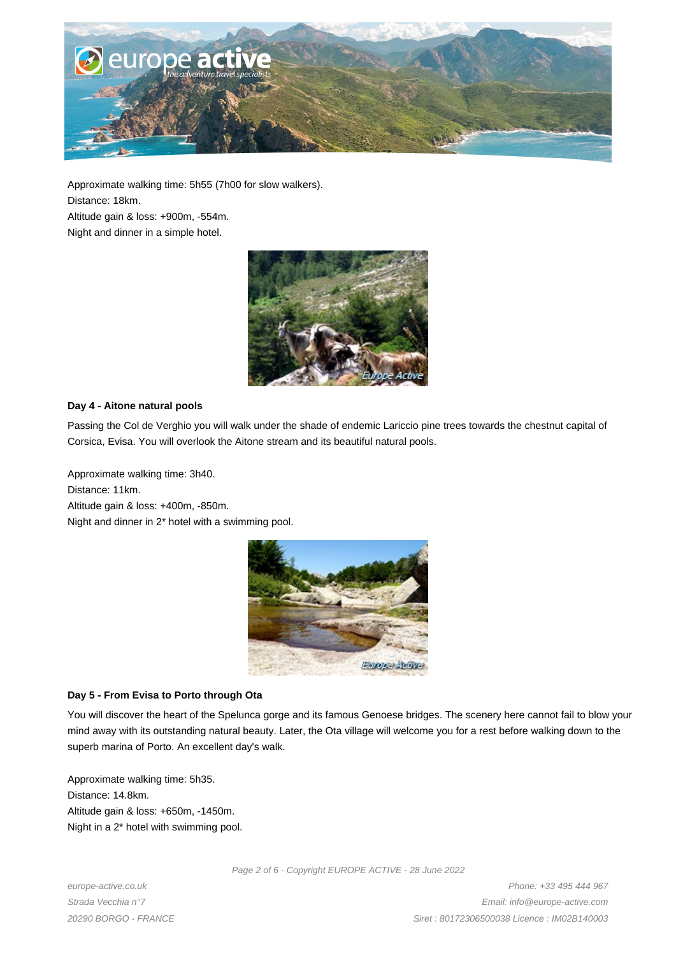

Approximate walking time: 5h55 (7h00 for slow walkers). Distance: 18km.

Altitude gain & loss: +900m, -554m.

Night and dinner in a simple hotel.



#### **Day 4 - Aitone natural pools**

Passing the Col de Verghio you will walk under the shade of endemic Lariccio pine trees towards the chestnut capital of Corsica, Evisa. You will overlook the Aitone stream and its beautiful natural pools.

Approximate walking time: 3h40. Distance: 11km. Altitude gain & loss: +400m, -850m. Night and dinner in 2\* hotel with a swimming pool.



## **Day 5 - From Evisa to Porto through Ota**

You will discover the heart of the Spelunca gorge and its famous Genoese bridges. The scenery here cannot fail to blow your mind away with its outstanding natural beauty. Later, the Ota village will welcome you for a rest before walking down to the superb marina of Porto. An excellent day's walk.

Approximate walking time: 5h35. Distance: 14.8km. Altitude gain & loss: +650m, -1450m. Night in a 2\* hotel with swimming pool.

europe-active.co.uk Strada Vecchia n°7 20290 BORGO - FRANCE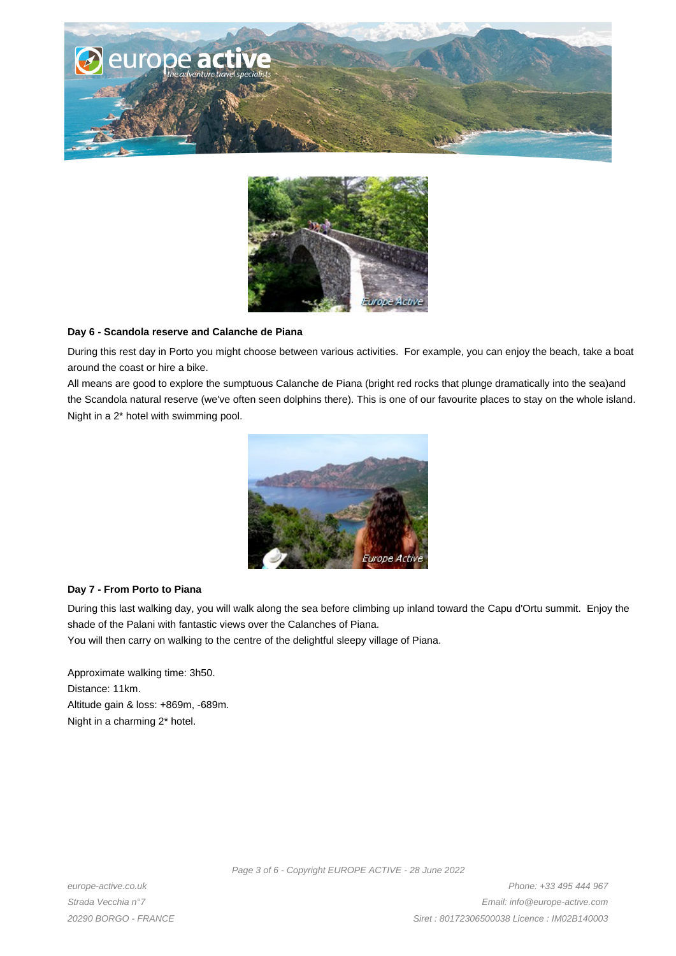



#### **Day 6 - Scandola reserve and Calanche de Piana**

During this rest day in Porto you might choose between various activities. For example, you can enjoy the beach, take a boat around the coast or hire a bike.

All means are good to explore the sumptuous Calanche de Piana (bright red rocks that plunge dramatically into the sea)and the Scandola natural reserve (we've often seen dolphins there). This is one of our favourite places to stay on the whole island. Night in a 2\* hotel with swimming pool.



#### **Day 7 - From Porto to Piana**

During this last walking day, you will walk along the sea before climbing up inland toward the Capu d'Ortu summit. Enjoy the shade of the Palani with fantastic views over the Calanches of Piana.

You will then carry on walking to the centre of the delightful sleepy village of Piana.

Approximate walking time: 3h50. Distance: 11km. Altitude gain & loss: +869m, -689m. Night in a charming 2\* hotel.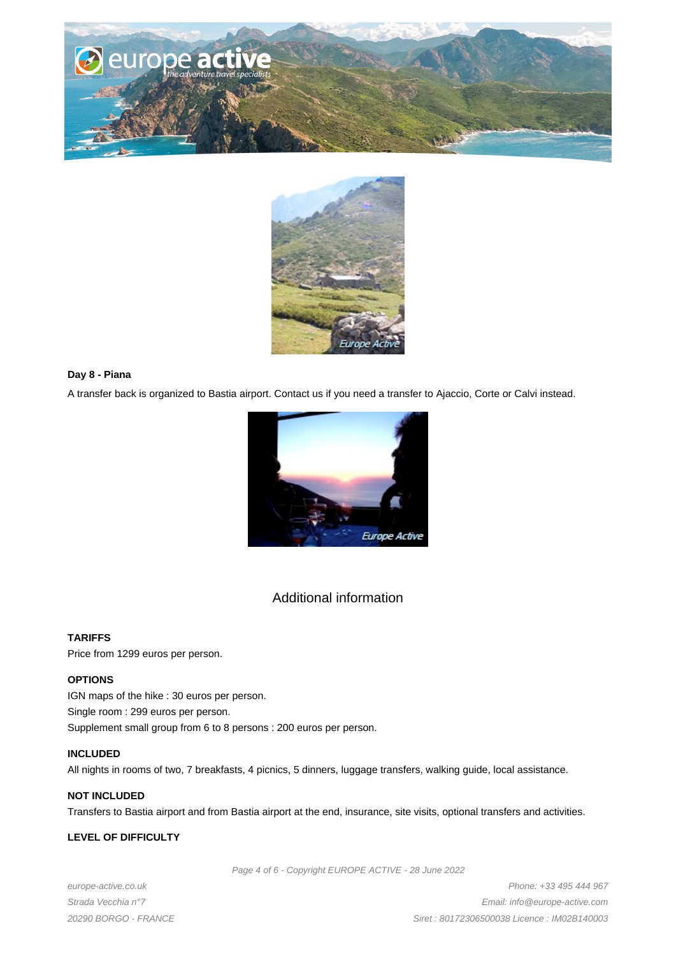



#### **Day 8 - Piana**

A transfer back is organized to Bastia airport. Contact us if you need a transfer to Ajaccio, Corte or Calvi instead.



## Additional information

#### **TARIFFS**

Price from 1299 euros per person.

#### **OPTIONS**

IGN maps of the hike : 30 euros per person. Single room : 299 euros per person. Supplement small group from 6 to 8 persons : 200 euros per person.

#### **INCLUDED**

All nights in rooms of two, 7 breakfasts, 4 picnics, 5 dinners, luggage transfers, walking guide, local assistance.

## **NOT INCLUDED**

Transfers to Bastia airport and from Bastia airport at the end, insurance, site visits, optional transfers and activities.

#### **LEVEL OF DIFFICULTY**

Page 4 of 6 - Copyright EUROPE ACTIVE - 28 June 2022

europe-active.co.uk Strada Vecchia n°7 20290 BORGO - FRANCE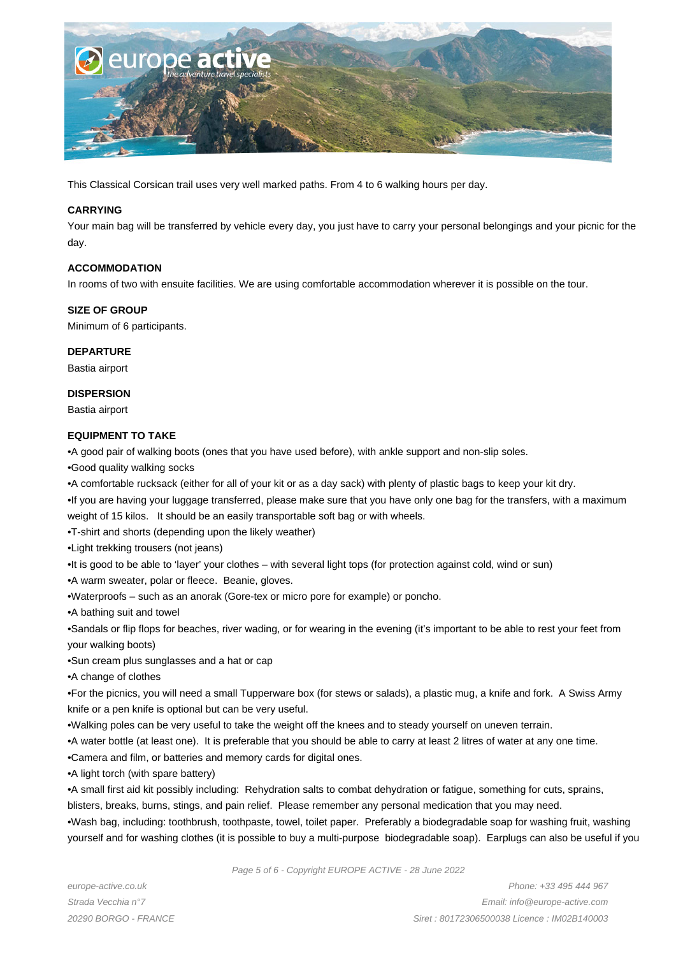

This Classical Corsican trail uses very well marked paths. From 4 to 6 walking hours per day.

#### **CARRYING**

Your main bag will be transferred by vehicle every day, you just have to carry your personal belongings and your picnic for the day.

#### **ACCOMMODATION**

In rooms of two with ensuite facilities. We are using comfortable accommodation wherever it is possible on the tour.

#### **SIZE OF GROUP**

Minimum of 6 participants.

#### **DEPARTURE**

Bastia airport

#### **DISPERSION**

Bastia airport

#### **EQUIPMENT TO TAKE**

- • A good pair of walking boots (ones that you have used before), with ankle support and non-slip soles.
- • Good quality walking socks
- • A comfortable rucksack (either for all of your kit or as a day sack) with plenty of plastic bags to keep your kit dry.
- If you are having your luggage transferred, please make sure that you have only one bag for the transfers, with a maximum weight of 15 kilos. It should be an easily transportable soft bag or with wheels.
- T-shirt and shorts (depending upon the likely weather)
- • Light trekking trousers (not jeans)
- It is good to be able to 'layer' your clothes with several light tops (for protection against cold, wind or sun)
- A warm sweater, polar or fleece. Beanie, gloves.
- • Waterproofs such as an anorak (Gore-tex or micro pore for example) or poncho.
- • A bathing suit and towel

• Sandals or flip flops for beaches, river wading, or for wearing in the evening (it's important to be able to rest your feet from your walking boots)

- • Sun cream plus sunglasses and a hat or cap
- • A change of clothes

• For the picnics, you will need a small Tupperware box (for stews or salads), a plastic mug, a knife and fork. A Swiss Army knife or a pen knife is optional but can be very useful.

- • Walking poles can be very useful to take the weight off the knees and to steady yourself on uneven terrain.
- A water bottle (at least one). It is preferable that you should be able to carry at least 2 litres of water at any one time.
- • Camera and film, or batteries and memory cards for digital ones.
- A light torch (with spare battery)

• A small first aid kit possibly including: Rehydration salts to combat dehydration or fatigue, something for cuts, sprains,

blisters, breaks, burns, stings, and pain relief. Please remember any personal medication that you may need.

• Wash bag, including: toothbrush, toothpaste, towel, toilet paper. Preferably a biodegradable soap for washing fruit, washing yourself and for washing clothes (it is possible to buy a multi-purpose biodegradable soap). Earplugs can also be useful if you